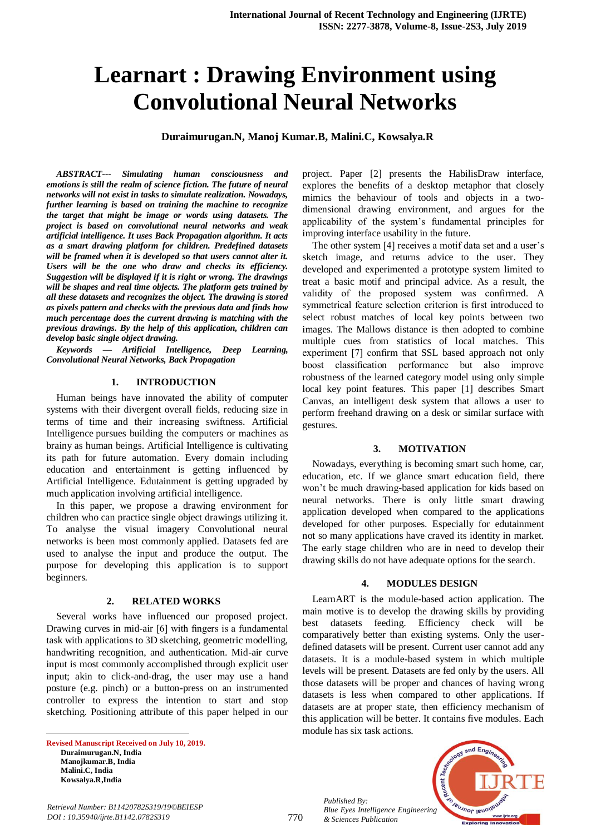# **Learnart : Drawing Environment using Convolutional Neural Networks**

**Duraimurugan.N, Manoj Kumar.B, Malini.C, Kowsalya.R**

*ABSTRACT--- Simulating human consciousness and emotions is still the realm of science fiction. The future of neural networks will not exist in tasks to simulate realization. Nowadays, further learning is based on training the machine to recognize the target that might be image or words using datasets. The project is based on convolutional neural networks and weak artificial intelligence. It uses Back Propagation algorithm. It acts as a smart drawing platform for children. Predefined datasets will be framed when it is developed so that users cannot alter it. Users will be the one who draw and checks its efficiency. Suggestion will be displayed if it is right or wrong. The drawings will be shapes and real time objects. The platform gets trained by all these datasets and recognizes the object. The drawing is stored as pixels pattern and checks with the previous data and finds how much percentage does the current drawing is matching with the previous drawings. By the help of this application, children can develop basic single object drawing.*

*Keywords — Artificial Intelligence, Deep Learning, Convolutional Neural Networks, Back Propagation*

#### **1. INTRODUCTION**

Human beings have innovated the ability of computer systems with their divergent overall fields, reducing size in terms of time and their increasing swiftness. Artificial Intelligence pursues building the computers or machines as brainy as human beings. Artificial Intelligence is cultivating its path for future automation. Every domain including education and entertainment is getting influenced by Artificial Intelligence. Edutainment is getting upgraded by much application involving artificial intelligence.

In this paper, we propose a drawing environment for children who can practice single object drawings utilizing it. To analyse the visual imagery Convolutional neural networks is been most commonly applied. Datasets fed are used to analyse the input and produce the output. The purpose for developing this application is to support beginners.

#### **2. RELATED WORKS**

Several works have influenced our proposed project. Drawing curves in mid-air [6] with fingers is a fundamental task with applications to 3D sketching, geometric modelling, handwriting recognition, and authentication. Mid-air curve input is most commonly accomplished through explicit user input; akin to click-and-drag, the user may use a hand posture (e.g. pinch) or a button-press on an instrumented controller to express the intention to start and stop sketching. Positioning attribute of this paper helped in our

**Revised Manuscript Received on July 10, 2019. Duraimurugan.N, India Manojkumar.B, India Malini.C, India Kowsalya.R,India**

 $\overline{a}$ 

project. Paper [2] presents the HabilisDraw interface, explores the benefits of a desktop metaphor that closely mimics the behaviour of tools and objects in a twodimensional drawing environment, and argues for the applicability of the system's fundamental principles for improving interface usability in the future.

The other system [4] receives a motif data set and a user's sketch image, and returns advice to the user. They developed and experimented a prototype system limited to treat a basic motif and principal advice. As a result, the validity of the proposed system was confirmed. A symmetrical feature selection criterion is first introduced to select robust matches of local key points between two images. The Mallows distance is then adopted to combine multiple cues from statistics of local matches. This experiment [7] confirm that SSL based approach not only boost classification performance but also improve robustness of the learned category model using only simple local key point features. This paper [1] describes Smart Canvas, an intelligent desk system that allows a user to perform freehand drawing on a desk or similar surface with gestures.

#### **3. MOTIVATION**

Nowadays, everything is becoming smart such home, car, education, etc. If we glance smart education field, there won't be much drawing-based application for kids based on neural networks. There is only little smart drawing application developed when compared to the applications developed for other purposes. Especially for edutainment not so many applications have craved its identity in market. The early stage children who are in need to develop their drawing skills do not have adequate options for the search.

#### **4. MODULES DESIGN**

LearnART is the module-based action application. The main motive is to develop the drawing skills by providing best datasets feeding. Efficiency check will be comparatively better than existing systems. Only the userdefined datasets will be present. Current user cannot add any datasets. It is a module-based system in which multiple levels will be present. Datasets are fed only by the users. All those datasets will be proper and chances of having wrong datasets is less when compared to other applications. If datasets are at proper state, then efficiency mechanism of this application will be better. It contains five modules. Each module has six task actions.

*Published By: Blue Eyes Intelligence Engineering & Sciences Publication* 



770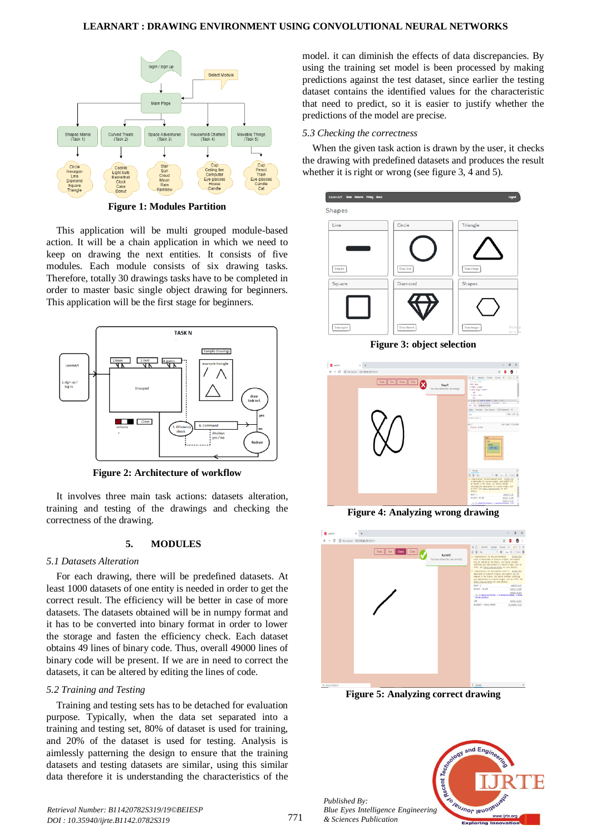## **LEARNART : DRAWING ENVIRONMENT USING CONVOLUTIONAL NEURAL NETWORKS**



**Figure 1: Modules Partition**

This application will be multi grouped module-based action. It will be a chain application in which we need to keep on drawing the next entities. It consists of five modules. Each module consists of six drawing tasks. Therefore, totally 30 drawings tasks have to be completed in order to master basic single object drawing for beginners. This application will be the first stage for beginners.



**Figure 2: Architecture of workflow**

It involves three main task actions: datasets alteration, training and testing of the drawings and checking the correctness of the drawing.

# **5. MODULES**

#### *5.1 Datasets Alteration*

For each drawing, there will be predefined datasets. At least 1000 datasets of one entity is needed in order to get the correct result. The efficiency will be better in case of more datasets. The datasets obtained will be in numpy format and it has to be converted into binary format in order to lower the storage and fasten the efficiency check. Each dataset obtains 49 lines of binary code. Thus, overall 49000 lines of binary code will be present. If we are in need to correct the datasets, it can be altered by editing the lines of code.

#### *5.2 Training and Testing*

Training and testing sets has to be detached for evaluation purpose. Typically, when the data set separated into a training and testing set, 80% of dataset is used for training, and 20% of the dataset is used for testing. Analysis is aimlessly patterning the design to ensure that the training datasets and testing datasets are similar, using this similar data therefore it is understanding the characteristics of the

model. it can diminish the effects of data discrepancies. By using the training set model is been processed by making predictions against the test dataset, since earlier the testing dataset contains the identified values for the characteristic that need to predict, so it is easier to justify whether the predictions of the model are precise.

#### *5.3 Checking the correctness*

When the given task action is drawn by the user, it checks the drawing with predefined datasets and produces the result whether it is right or wrong (see figure 3, 4 and 5).

| LearnArt Hone Features Pricing About                                          |                                   | Logout                                                              |
|-------------------------------------------------------------------------------|-----------------------------------|---------------------------------------------------------------------|
| Shapes                                                                        |                                   |                                                                     |
| Line                                                                          | Circle                            | Triangle                                                            |
|                                                                               |                                   |                                                                     |
|                                                                               |                                   |                                                                     |
| Draw line                                                                     | Draw circle                       | Draw triangle                                                       |
| Square                                                                        | Diamond                           | Shapes                                                              |
|                                                                               |                                   |                                                                     |
|                                                                               |                                   |                                                                     |
| Draw square                                                                   | Draw diamond                      | Activa<br>Draw hexagon<br>Go to Se                                  |
|                                                                               | <b>Figure 3: object selection</b> |                                                                     |
|                                                                               |                                   |                                                                     |
| $\times$ +<br><b>B</b> LearnArt                                               |                                   | $\sigma$<br>$\times$                                                |
| $\leftarrow$ $\rightarrow$ C $\circledcirc$ Not secure   192.168.43.29.0000/# |                                   | ÷.<br>$\boxed{6}$ $\boxed{)}$ Benets Corsole Sources > $\boxed{42}$ |
| Train                                                                         | Test Guess Clear<br>Oops!!!       | chiedlype Malls<br>cont large                                       |
|                                                                               | You have drawn the Line wrongly   | Fiberty, / Read-<br>videoj alágo/center"><br>dry.                   |
|                                                                               |                                   | Fifth, Office<br>40<br>- Fight 55-"slatch-hilder" a cities on \$1   |
|                                                                               |                                   | a city Ad hast Halmade containants colors<br>MH body plumpanovador  |



**Figure 4: Analyzing wrong drawing**



**Figure 5: Analyzing correct drawing**